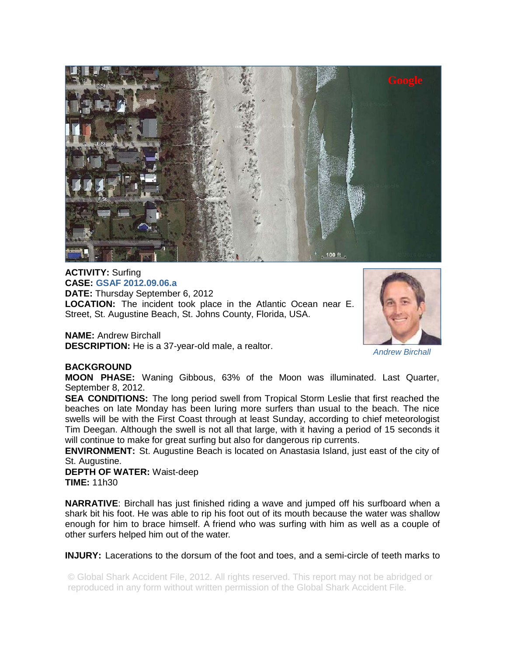

**ACTIVITY:** Surfing **CASE: GSAF 2012.09.06.a DATE:** Thursday September 6, 2012 **LOCATION:** The incident took place in the Atlantic Ocean near E. Street, St. Augustine Beach, St. Johns County, Florida, USA.

**NAME:** Andrew Birchall **DESCRIPTION:** He is a 37-year-old male, a realtor.



*Andrew Birchall* 

## **BACKGROUND**

**MOON PHASE:** Waning Gibbous, 63% of the Moon was illuminated. Last Quarter, September 8, 2012.

**SEA CONDITIONS:** The long period swell from Tropical Storm Leslie that first reached the beaches on late Monday has been luring more surfers than usual to the beach. The nice swells will be with the First Coast through at least Sunday, according to chief meteorologist Tim Deegan. Although the swell is not all that large, with it having a period of 15 seconds it will continue to make for great surfing but also for dangerous rip currents.

**ENVIRONMENT:** St. Augustine Beach is located on Anastasia Island, just east of the city of St. Augustine.

**DEPTH OF WATER:** Waist-deep **TIME:** 11h30

**NARRATIVE**: Birchall has just finished riding a wave and jumped off his surfboard when a shark bit his foot. He was able to rip his foot out of its mouth because the water was shallow enough for him to brace himself. A friend who was surfing with him as well as a couple of other surfers helped him out of the water.

**INJURY:** Lacerations to the dorsum of the foot and toes, and a semi-circle of teeth marks to

© Global Shark Accident File, 2012. All rights reserved. This report may not be abridged or reproduced in any form without written permission of the Global Shark Accident File.